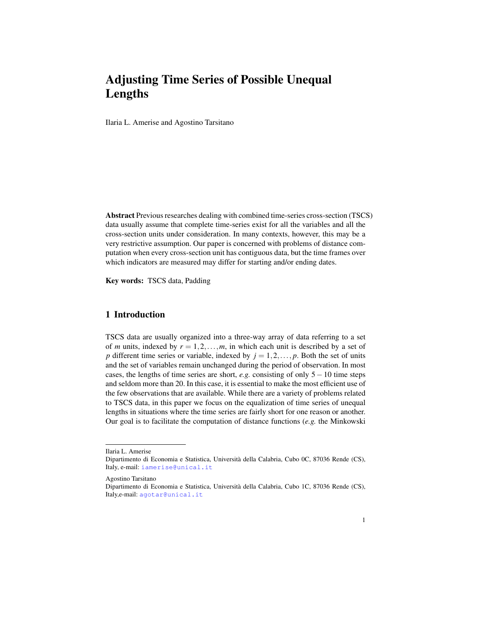# <span id="page-0-0"></span>Adjusting Time Series of Possible Unequal Lengths

Ilaria L. Amerise and Agostino Tarsitano

Abstract Previous researches dealing with combined time-series cross-section (TSCS) data usually assume that complete time-series exist for all the variables and all the cross-section units under consideration. In many contexts, however, this may be a very restrictive assumption. Our paper is concerned with problems of distance computation when every cross-section unit has contiguous data, but the time frames over which indicators are measured may differ for starting and/or ending dates.

Key words: TSCS data, Padding

## 1 Introduction

TSCS data are usually organized into a three-way array of data referring to a set of *m* units, indexed by  $r = 1, 2, \ldots, m$ , in which each unit is described by a set of *p* different time series or variable, indexed by  $j = 1, 2, \ldots, p$ . Both the set of units and the set of variables remain unchanged during the period of observation. In most cases, the lengths of time series are short, *e.g.* consisting of only 5−10 time steps and seldom more than 20. In this case, it is essential to make the most efficient use of the few observations that are available. While there are a variety of problems related to TSCS data, in this paper we focus on the equalization of time series of unequal lengths in situations where the time series are fairly short for one reason or another. Our goal is to facilitate the computation of distance functions (*e.g.* the Minkowski

Ilaria L. Amerise

Dipartimento di Economia e Statistica, Universita della Calabria, Cubo 0C, 87036 Rende (CS), ` Italy, e-mail: <iamerise@unical.it>

Agostino Tarsitano

Dipartimento di Economia e Statistica, Universita della Calabria, Cubo 1C, 87036 Rende (CS), ` Italy,e-mail: <agotar@unical.it>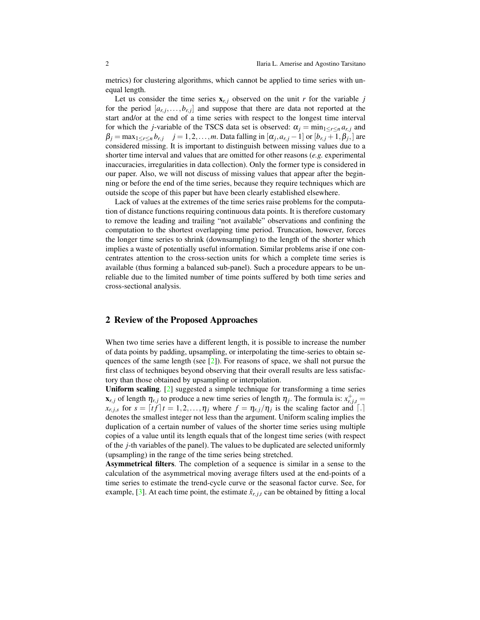metrics) for clustering algorithms, which cannot be applied to time series with unequal length.

Let us consider the time series  $\mathbf{x}_{r,j}$  observed on the unit *r* for the variable *j* for the period  $[a_{r,j},...,b_{r,j}]$  and suppose that there are data not reported at the start and/or at the end of a time series with respect to the longest time interval for which the *j*-variable of the TSCS data set is observed:  $\alpha_j = \min_{1 \leq r \leq n} a_{r,j}$  and  $\beta_j = \max_{1 \leq r \leq n} b_{r,j}$  *j* = 1,2,...,*m*. Data falling in  $[\alpha_j, a_{r,j} - 1]$  or  $[b_{r,j} + 1, \beta_j]$  are considered missing. It is important to distinguish between missing values due to a shorter time interval and values that are omitted for other reasons (*e.g.* experimental inaccuracies, irregularities in data collection). Only the former type is considered in our paper. Also, we will not discuss of missing values that appear after the beginning or before the end of the time series, because they require techniques which are outside the scope of this paper but have been clearly established elsewhere.

Lack of values at the extremes of the time series raise problems for the computation of distance functions requiring continuous data points. It is therefore customary to remove the leading and trailing "not available" observations and confining the computation to the shortest overlapping time period. Truncation, however, forces the longer time series to shrink (downsampling) to the length of the shorter which implies a waste of potentially useful information. Similar problems arise if one concentrates attention to the cross-section units for which a complete time series is available (thus forming a balanced sub-panel). Such a procedure appears to be unreliable due to the limited number of time points suffered by both time series and cross-sectional analysis.

#### 2 Review of the Proposed Approaches

When two time series have a different length, it is possible to increase the number of data points by padding, upsampling, or interpolating the time-series to obtain sequences of the same length (see  $[2]$ ). For reasons of space, we shall not pursue the first class of techniques beyond observing that their overall results are less satisfactory than those obtained by upsampling or interpolation.

Uniform scaling. [\[2\]](#page-3-0) suggested a simple technique for transforming a time series  $\mathbf{x}_{r,j}$  of length  $\eta_{r,j}$  to produce a new time series of length  $\eta_j$ . The formula is:  $x_{r,j,t}^+$ *x*<sub>*r*, *j*,*s*</sub> for  $s = [tf]t = 1, 2, ..., \eta_j$  where  $f = \eta_{r,j}/\eta_j$  is the scaling factor and  $\lceil . \rceil$ denotes the smallest integer not less than the argument. Uniform scaling implies the duplication of a certain number of values of the shorter time series using multiple copies of a value until its length equals that of the longest time series (with respect of the *j*-th variables of the panel). The values to be duplicated are selected uniformly (upsampling) in the range of the time series being stretched.

Asymmetrical filters. The completion of a sequence is similar in a sense to the calculation of the asymmetrical moving average filters used at the end-points of a time series to estimate the trend-cycle curve or the seasonal factor curve. See, for example, [\[3\]](#page-3-1). At each time point, the estimate  $\hat{x}_{r,j,t}$  can be obtained by fitting a local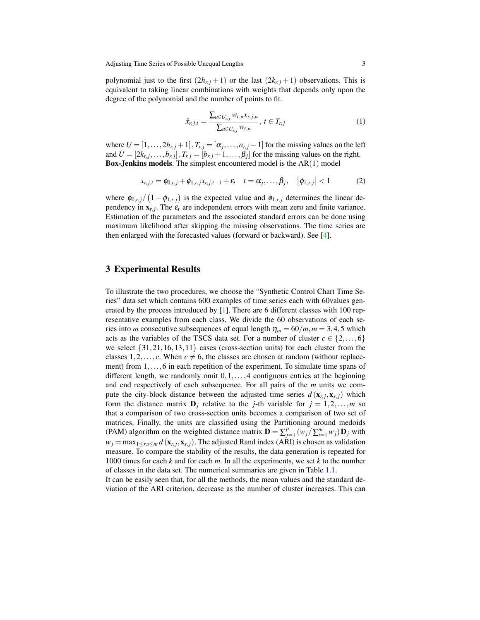polynomial just to the first  $(2h_{r,j}+1)$  or the last  $(2k_{r,j}+1)$  observations. This is equivalent to taking linear combinations with weights that depends only upon the degree of the polynomial and the number of points to fit.

$$
\hat{x}_{r,j,t} = \frac{\sum_{u \in U_{r,j}} w_{t,u} x_{r,j,u}}{\sum_{u \in U_{r,j}} w_{t,u}}, \ t \in T_{r,j} \tag{1}
$$

where  $U = [1, \ldots, 2h_{r,j} + 1]$ ,  $T_{r,j} = [\alpha_j, \ldots, \alpha_{r,j} - 1]$  for the missing values on the left and  $U = [2k_{r,j}, \ldots, b_{r,j}]$ ,  $T_{r,j} = [b_{r,j} + 1, \ldots, \beta_j]$  for the missing values on the right. **Box-Jenkins models.** The simplest encountered model is the  $AR(1)$  model

$$
x_{r,j,t} = \phi_{0,r,j} + \phi_{1,r,j} x_{r,j,t-1} + \varepsilon_t \quad t = \alpha_j, \ldots, \beta_j, \quad |\phi_{1,r,j}| < 1 \tag{2}
$$

where  $\phi_{0,r,j}/(1-\phi_{1,r,j})$  is the expected value and  $\phi_{1,r,j}$  determines the linear dependency in  $\mathbf{x}_{r,j}$ . The  $\varepsilon_t$  are independent errors with mean zero and finite variance. Estimation of the parameters and the associated standard errors can be done using maximum likelihood after skipping the missing observations. The time series are then enlarged with the forecasted values (forward or backward). See [\[4\]](#page-3-2).

### 3 Experimental Results

To illustrate the two procedures, we choose the "Synthetic Control Chart Time Series" data set which contains 600 examples of time series each with 60values generated by the process introduced by [\[1\]](#page-3-3). There are 6 different classes with 100 representative examples from each class. We divide the 60 observations of each series into *m* consecutive subsequences of equal length  $\eta_m = 60/m$ ,  $m = 3, 4, 5$  which acts as the variables of the TSCS data set. For a number of cluster  $c \in \{2,...,6\}$ we select  $\{31,21,16,13,11\}$  cases (cross-section units) for each cluster from the classes  $1, 2, \ldots, c$ . When  $c \neq 6$ , the classes are chosen at random (without replacement) from 1,...,6 in each repetition of the experiment. To simulate time spans of different length, we randomly omit  $0,1,\ldots,4$  contiguous entries at the beginning and end respectively of each subsequence. For all pairs of the *m* units we compute the city-block distance between the adjusted time series  $d(\mathbf{x}_{r,j}, \mathbf{x}_{s,j})$  which form the distance matrix  $\mathbf{D}_j$  relative to the *j*-th variable for  $j = 1, 2, ..., m$  so that a comparison of two cross-section units becomes a comparison of two set of matrices. Finally, the units are classified using the Partitioning around medoids (PAM) algorithm on the weighted distance matrix  $\mathbf{D} = \sum_{j=1}^{p} (w_j / \sum_{i=1}^{m} w_j) \mathbf{D}_j$  with  $w_j = \max_{1 \leq r,s \leq m} d(\mathbf{x}_{r,j}, \mathbf{x}_{s,j})$ . The adjusted Rand index (ARI) is chosen as validation measure. To compare the stability of the results, the data generation is repeated for 1000 times for each *k* and for each *m*. In all the experiments, we set *k* to the number of classes in the data set. The numerical summaries are given in Table [1.1.](#page-0-0)

It can be easily seen that, for all the methods, the mean values and the standard deviation of the ARI criterion, decrease as the number of cluster increases. This can